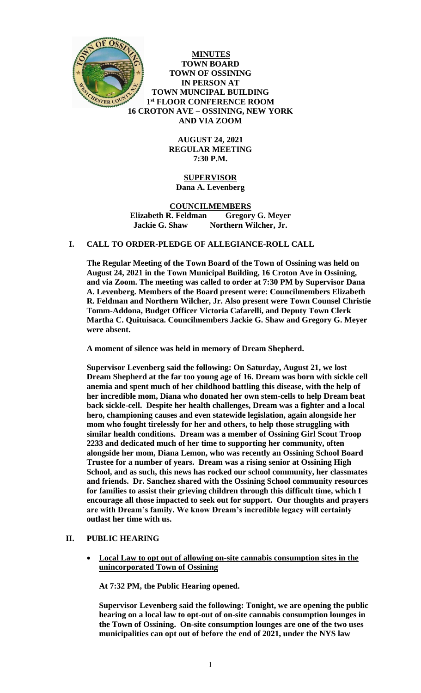

**MINUTES TOWN BOARD TOWN OF OSSINING IN PERSON AT TOWN MUNCIPAL BUILDING 1 st FLOOR CONFERENCE ROOM 16 CROTON AVE – OSSINING, NEW YORK AND VIA ZOOM**

> **AUGUST 24, 2021 REGULAR MEETING 7:30 P.M.**

# **SUPERVISOR Dana A. Levenberg**

## **COUNCILMEMBERS Elizabeth R. Feldman Gregory G. Meyer Jackie G. Shaw Northern Wilcher, Jr.**

# **I. CALL TO ORDER-PLEDGE OF ALLEGIANCE-ROLL CALL**

**The Regular Meeting of the Town Board of the Town of Ossining was held on August 24, 2021 in the Town Municipal Building, 16 Croton Ave in Ossining, and via Zoom. The meeting was called to order at 7:30 PM by Supervisor Dana A. Levenberg. Members of the Board present were: Councilmembers Elizabeth R. Feldman and Northern Wilcher, Jr. Also present were Town Counsel Christie Tomm-Addona, Budget Officer Victoria Cafarelli, and Deputy Town Clerk Martha C. Quituisaca. Councilmembers Jackie G. Shaw and Gregory G. Meyer were absent.** 

**A moment of silence was held in memory of Dream Shepherd.** 

**Supervisor Levenberg said the following: On Saturday, August 21, we lost Dream Shepherd at the far too young age of 16. Dream was born with sickle cell anemia and spent much of her childhood battling this disease, with the help of her incredible mom, Diana who donated her own stem-cells to help Dream beat back sickle-cell. Despite her health challenges, Dream was a fighter and a local hero, championing causes and even statewide legislation, again alongside her mom who fought tirelessly for her and others, to help those struggling with similar health conditions. Dream was a member of Ossining Girl Scout Troop 2233 and dedicated much of her time to supporting her community, often alongside her mom, Diana Lemon, who was recently an Ossining School Board Trustee for a number of years. Dream was a rising senior at Ossining High School, and as such, this news has rocked our school community, her classmates and friends. Dr. Sanchez shared with the Ossining School community resources for families to assist their grieving children through this difficult time, which I encourage all those impacted to seek out for support. Our thoughts and prayers are with Dream's family. We know Dream's incredible legacy will certainly outlast her time with us.** 

## **II. PUBLIC HEARING**

 **Local Law to opt out of allowing on-site cannabis consumption sites in the unincorporated Town of Ossining**

**At 7:32 PM, the Public Hearing opened.** 

**Supervisor Levenberg said the following: Tonight, we are opening the public hearing on a local law to opt-out of on-site cannabis consumption lounges in the Town of Ossining. On-site consumption lounges are one of the two uses municipalities can opt out of before the end of 2021, under the NYS law**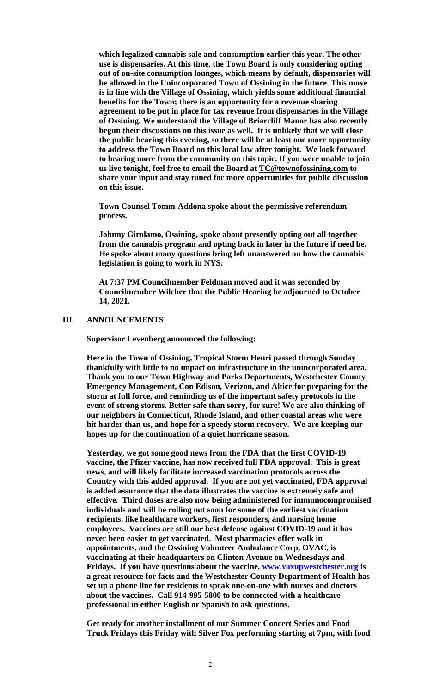**which legalized cannabis sale and consumption earlier this year. The other use is dispensaries. At this time, the Town Board is only considering opting out of on-site consumption lounges, which means by default, dispensaries will be allowed in the Unincorporated Town of Ossining in the future. This move is in line with the Village of Ossining, which yields some additional financial benefits for the Town; there is an opportunity for a revenue sharing agreement to be put in place for tax revenue from dispensaries in the Village of Ossining. We understand the Village of Briarcliff Manor has also recently begun their discussions on this issue as well. It is unlikely that we will close the public hearing this evening, so there will be at least one more opportunity to address the Town Board on this local law after tonight. We look forward to hearing more from the community on this topic. If you were unable to join us live tonight, feel free to email the Board at [TC@townofossining.com](mailto:TC@townofossining.com) to share your input and stay tuned for more opportunities for public discussion on this issue.** 

**Town Counsel Tomm-Addona spoke about the permissive referendum process.** 

**Johnny Girolamo, Ossining, spoke about presently opting out all together from the cannabis program and opting back in later in the future if need be. He spoke about many questions bring left unanswered on how the cannabis legislation is going to work in NYS.**

**At 7:37 PM Councilmember Feldman moved and it was seconded by Councilmember Wilcher that the Public Hearing be adjourned to October 14, 2021.**

### **III. ANNOUNCEMENTS**

**Supervisor Levenberg announced the following:**

**Here in the Town of Ossining, Tropical Storm Henri passed through Sunday thankfully with little to no impact on infrastructure in the unincorporated area. Thank you to our Town Highway and Parks Departments, Westchester County Emergency Management, Con Edison, Verizon, and Altice for preparing for the storm at full force, and reminding us of the important safety protocols in the event of strong storms. Better safe than sorry, for sure! We are also thinking of our neighbors in Connecticut, Rhode Island, and other coastal areas who were hit harder than us, and hope for a speedy storm recovery. We are keeping our hopes up for the continuation of a quiet hurricane season.** 

**Yesterday, we got some good news from the FDA that the first COVID-19 vaccine, the Pfizer vaccine, has now received full FDA approval. This is great news, and will likely facilitate increased vaccination protocols across the Country with this added approval. If you are not yet vaccinated, FDA approval is added assurance that the data illustrates the vaccine is extremely safe and effective. Third doses are also now being administered for immunocompromised individuals and will be rolling out soon for some of the earliest vaccination recipients, like healthcare workers, first responders, and nursing home employees. Vaccines are still our best defense against COVID-19 and it has never been easier to get vaccinated. Most pharmacies offer walk in appointments, and the Ossining Volunteer Ambulance Corp, OVAC, is vaccinating at their headquarters on Clinton Avenue on Wednesdays and Fridays. If you have questions about the vaccine, [www.vaxupwestchester.org](http://www.vaxupwestchester.org/) is a great resource for facts and the Westchester County Department of Health has set up a phone line for residents to speak one-on-one with nurses and doctors about the vaccines. Call 914-995-5800 to be connected with a healthcare professional in either English or Spanish to ask questions.** 

**Get ready for another installment of our Summer Concert Series and Food Truck Fridays this Friday with Silver Fox performing starting at 7pm, with food**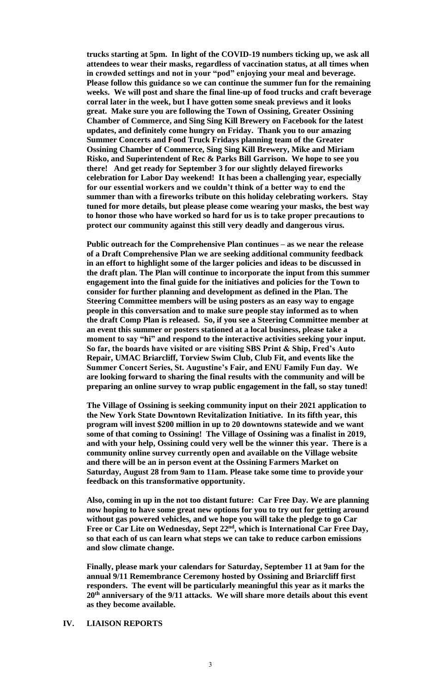**trucks starting at 5pm. In light of the COVID-19 numbers ticking up, we ask all attendees to wear their masks, regardless of vaccination status, at all times when in crowded settings and not in your "pod" enjoying your meal and beverage. Please follow this guidance so we can continue the summer fun for the remaining weeks. We will post and share the final line-up of food trucks and craft beverage corral later in the week, but I have gotten some sneak previews and it looks great. Make sure you are following the Town of Ossining, Greater Ossining Chamber of Commerce, and Sing Sing Kill Brewery on Facebook for the latest updates, and definitely come hungry on Friday. Thank you to our amazing Summer Concerts and Food Truck Fridays planning team of the Greater Ossining Chamber of Commerce, Sing Sing Kill Brewery, Mike and Miriam Risko, and Superintendent of Rec & Parks Bill Garrison. We hope to see you there! And get ready for September 3 for our slightly delayed fireworks celebration for Labor Day weekend! It has been a challenging year, especially for our essential workers and we couldn't think of a better way to end the summer than with a fireworks tribute on this holiday celebrating workers. Stay tuned for more details, but please please come wearing your masks, the best way to honor those who have worked so hard for us is to take proper precautions to protect our community against this still very deadly and dangerous virus.** 

**Public outreach for the Comprehensive Plan continues – as we near the release of a Draft Comprehensive Plan we are seeking additional community feedback in an effort to highlight some of the larger policies and ideas to be discussed in the draft plan. The Plan will continue to incorporate the input from this summer engagement into the final guide for the initiatives and policies for the Town to consider for further planning and development as defined in the Plan. The Steering Committee members will be using posters as an easy way to engage people in this conversation and to make sure people stay informed as to when the draft Comp Plan is released. So, if you see a Steering Committee member at an event this summer or posters stationed at a local business, please take a moment to say "hi" and respond to the interactive activities seeking your input. So far, the boards have visited or are visiting SBS Print & Ship, Fred's Auto Repair, UMAC Briarcliff, Torview Swim Club, Club Fit, and events like the Summer Concert Series, St. Augustine's Fair, and ENU Family Fun day. We are looking forward to sharing the final results with the community and will be preparing an online survey to wrap public engagement in the fall, so stay tuned!** 

**The Village of Ossining is seeking community input on their 2021 application to the New York State Downtown Revitalization Initiative. In its fifth year, this program will invest \$200 million in up to 20 downtowns statewide and we want some of that coming to Ossining! The Village of Ossining was a finalist in 2019, and with your help, Ossining could very well be the winner this year. There is a community online survey currently open and available on the Village website and there will be an in person event at the Ossining Farmers Market on Saturday, August 28 from 9am to 11am. Please take some time to provide your feedback on this transformative opportunity.** 

**Also, coming in up in the not too distant future: Car Free Day. We are planning now hoping to have some great new options for you to try out for getting around without gas powered vehicles, and we hope you will take the pledge to go Car Free or Car Lite on Wednesday, Sept 22nd, which is International Car Free Day, so that each of us can learn what steps we can take to reduce carbon emissions and slow climate change.** 

**Finally, please mark your calendars for Saturday, September 11 at 9am for the annual 9/11 Remembrance Ceremony hosted by Ossining and Briarcliff first responders. The event will be particularly meaningful this year as it marks the 20th anniversary of the 9/11 attacks. We will share more details about this event as they become available.** 

### **IV. LIAISON REPORTS**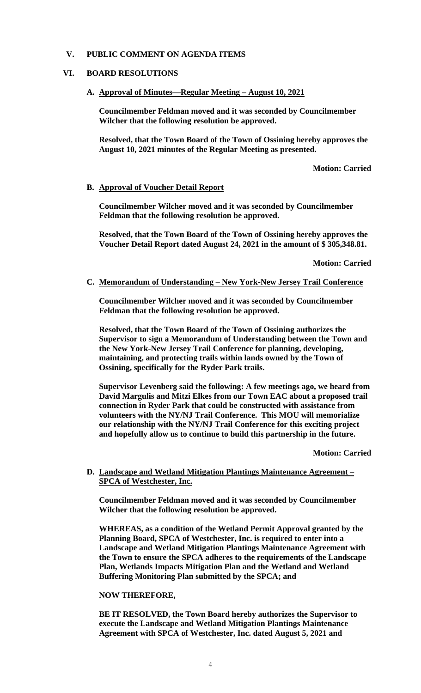# **V. PUBLIC COMMENT ON AGENDA ITEMS**

# **VI. BOARD RESOLUTIONS**

## **A. Approval of Minutes—Regular Meeting – August 10, 2021**

**Councilmember Feldman moved and it was seconded by Councilmember Wilcher that the following resolution be approved.**

**Resolved, that the Town Board of the Town of Ossining hereby approves the August 10, 2021 minutes of the Regular Meeting as presented.**

**Motion: Carried**

### **B. Approval of Voucher Detail Report**

**Councilmember Wilcher moved and it was seconded by Councilmember Feldman that the following resolution be approved.** 

**Resolved, that the Town Board of the Town of Ossining hereby approves the Voucher Detail Report dated August 24, 2021 in the amount of \$ 305,348.81.** 

**Motion: Carried**

#### **C. Memorandum of Understanding – New York-New Jersey Trail Conference**

**Councilmember Wilcher moved and it was seconded by Councilmember Feldman that the following resolution be approved.** 

**Resolved, that the Town Board of the Town of Ossining authorizes the Supervisor to sign a Memorandum of Understanding between the Town and the New York-New Jersey Trail Conference for planning, developing, maintaining, and protecting trails within lands owned by the Town of Ossining, specifically for the Ryder Park trails.**

**Supervisor Levenberg said the following: A few meetings ago, we heard from David Margulis and Mitzi Elkes from our Town EAC about a proposed trail connection in Ryder Park that could be constructed with assistance from volunteers with the NY/NJ Trail Conference. This MOU will memorialize our relationship with the NY/NJ Trail Conference for this exciting project and hopefully allow us to continue to build this partnership in the future.** 

**Motion: Carried**

## **D. Landscape and Wetland Mitigation Plantings Maintenance Agreement – SPCA of Westchester, Inc.**

**Councilmember Feldman moved and it was seconded by Councilmember Wilcher that the following resolution be approved.**

**WHEREAS, as a condition of the Wetland Permit Approval granted by the Planning Board, SPCA of Westchester, Inc. is required to enter into a Landscape and Wetland Mitigation Plantings Maintenance Agreement with the Town to ensure the SPCA adheres to the requirements of the Landscape Plan, Wetlands Impacts Mitigation Plan and the Wetland and Wetland Buffering Monitoring Plan submitted by the SPCA; and**

#### **NOW THEREFORE,**

**BE IT RESOLVED, the Town Board hereby authorizes the Supervisor to execute the Landscape and Wetland Mitigation Plantings Maintenance Agreement with SPCA of Westchester, Inc. dated August 5, 2021 and**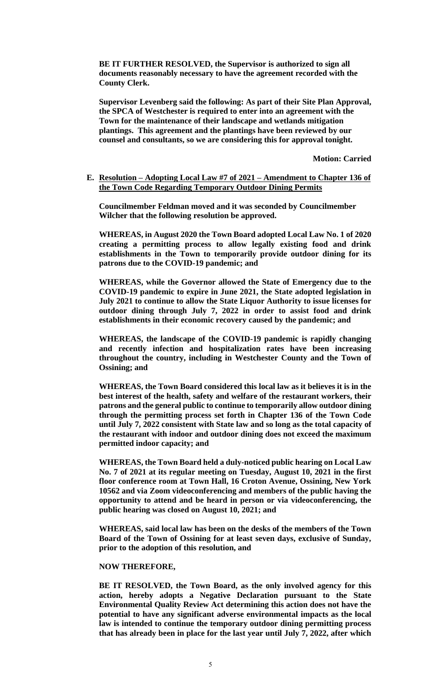**BE IT FURTHER RESOLVED, the Supervisor is authorized to sign all documents reasonably necessary to have the agreement recorded with the County Clerk.**

**Supervisor Levenberg said the following: As part of their Site Plan Approval, the SPCA of Westchester is required to enter into an agreement with the Town for the maintenance of their landscape and wetlands mitigation plantings. This agreement and the plantings have been reviewed by our counsel and consultants, so we are considering this for approval tonight.** 

**Motion: Carried**

### **E. Resolution – Adopting Local Law #7 of 2021 – Amendment to Chapter 136 of the Town Code Regarding Temporary Outdoor Dining Permits**

**Councilmember Feldman moved and it was seconded by Councilmember Wilcher that the following resolution be approved.**

**WHEREAS, in August 2020 the Town Board adopted Local Law No. 1 of 2020 creating a permitting process to allow legally existing food and drink establishments in the Town to temporarily provide outdoor dining for its patrons due to the COVID-19 pandemic; and**

**WHEREAS, while the Governor allowed the State of Emergency due to the COVID-19 pandemic to expire in June 2021, the State adopted legislation in July 2021 to continue to allow the State Liquor Authority to issue licenses for outdoor dining through July 7, 2022 in order to assist food and drink establishments in their economic recovery caused by the pandemic; and**

**WHEREAS, the landscape of the COVID-19 pandemic is rapidly changing and recently infection and hospitalization rates have been increasing throughout the country, including in Westchester County and the Town of Ossining; and**

**WHEREAS, the Town Board considered this local law as it believes it is in the best interest of the health, safety and welfare of the restaurant workers, their patrons and the general public to continue to temporarily allow outdoor dining through the permitting process set forth in Chapter 136 of the Town Code until July 7, 2022 consistent with State law and so long as the total capacity of the restaurant with indoor and outdoor dining does not exceed the maximum permitted indoor capacity; and**

**WHEREAS, the Town Board held a duly-noticed public hearing on Local Law No. 7 of 2021 at its regular meeting on Tuesday, August 10, 2021 in the first floor conference room at Town Hall, 16 Croton Avenue, Ossining, New York 10562 and via Zoom videoconferencing and members of the public having the opportunity to attend and be heard in person or via videoconferencing, the public hearing was closed on August 10, 2021; and**

**WHEREAS, said local law has been on the desks of the members of the Town Board of the Town of Ossining for at least seven days, exclusive of Sunday, prior to the adoption of this resolution, and**

#### **NOW THEREFORE,**

**BE IT RESOLVED, the Town Board, as the only involved agency for this action, hereby adopts a Negative Declaration pursuant to the State Environmental Quality Review Act determining this action does not have the potential to have any significant adverse environmental impacts as the local law is intended to continue the temporary outdoor dining permitting process that has already been in place for the last year until July 7, 2022, after which**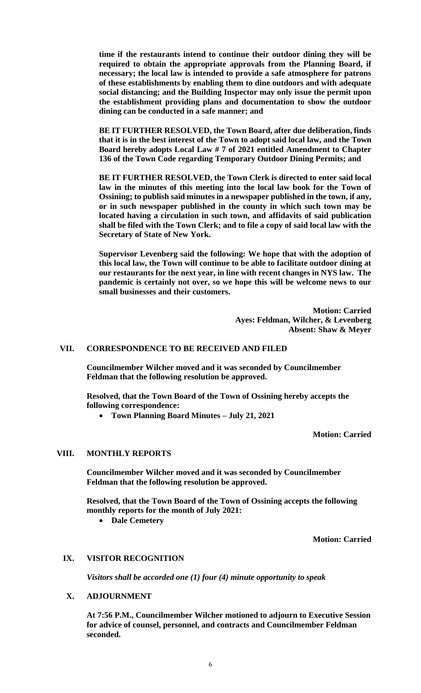**time if the restaurants intend to continue their outdoor dining they will be required to obtain the appropriate approvals from the Planning Board, if necessary; the local law is intended to provide a safe atmosphere for patrons of these establishments by enabling them to dine outdoors and with adequate social distancing; and the Building Inspector may only issue the permit upon the establishment providing plans and documentation to show the outdoor dining can be conducted in a safe manner; and**

**BE IT FURTHER RESOLVED, the Town Board, after due deliberation, finds that it is in the best interest of the Town to adopt said local law, and the Town Board hereby adopts Local Law # 7 of 2021 entitled Amendment to Chapter 136 of the Town Code regarding Temporary Outdoor Dining Permits; and** 

**BE IT FURTHER RESOLVED, the Town Clerk is directed to enter said local law in the minutes of this meeting into the local law book for the Town of Ossining; to publish said minutes in a newspaper published in the town, if any, or in such newspaper published in the county in which such town may be located having a circulation in such town, and affidavits of said publication shall be filed with the Town Clerk; and to file a copy of said local law with the Secretary of State of New York.**

**Supervisor Levenberg said the following: We hope that with the adoption of this local law, the Town will continue to be able to facilitate outdoor dining at our restaurants for the next year, in line with recent changes in NYS law. The pandemic is certainly not over, so we hope this will be welcome news to our small businesses and their customers.** 

> **Motion: Carried Ayes: Feldman, Wilcher, & Levenberg Absent: Shaw & Meyer**

#### **VII. CORRESPONDENCE TO BE RECEIVED AND FILED**

**Councilmember Wilcher moved and it was seconded by Councilmember Feldman that the following resolution be approved.**

**Resolved, that the Town Board of the Town of Ossining hereby accepts the following correspondence:**

**Town Planning Board Minutes – July 21, 2021** 

**Motion: Carried**

## **VIII. MONTHLY REPORTS**

**Councilmember Wilcher moved and it was seconded by Councilmember Feldman that the following resolution be approved.**

**Resolved, that the Town Board of the Town of Ossining accepts the following monthly reports for the month of July 2021:**

**Dale Cemetery**

**Motion: Carried**

## **IX. VISITOR RECOGNITION**

*Visitors shall be accorded one (1) four (4) minute opportunity to speak*

### **X. ADJOURNMENT**

**At 7:56 P.M., Councilmember Wilcher motioned to adjourn to Executive Session for advice of counsel, personnel, and contracts and Councilmember Feldman seconded.**